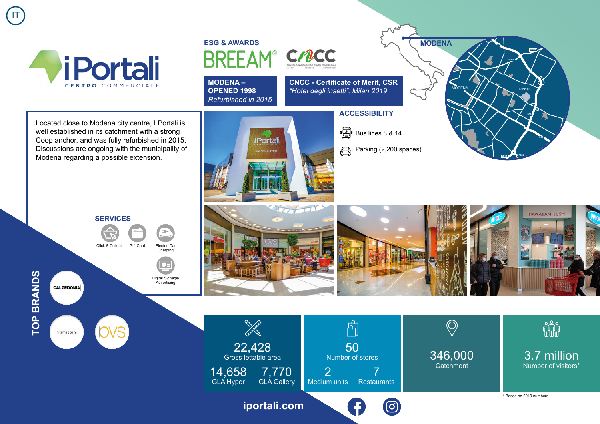

Located close to Modena city centre, I Portali is well established in its catchment with a strong Coop anchor, and was fully refurbished in 2015. Discussions are ongoing with the municipality of

Modena regarding a possible extension.

IT

## **ESG & AWARDSBRFFAM**



**MODENA – OPENED 1998** *Refurbished in 2015*

*iPortali* 

**CNCC - Certificate of Merit, CSR** *"Hotel degli insetti", Milan 2019*

## **ACCESSIBILITY**

 $\begin{bmatrix} \begin{smallmatrix} \begin{smallmatrix} \mathbb{R} \\ \mathbb{R} \end{smallmatrix} \\ \mathbb{R} \end{smallmatrix} \end{bmatrix}$  Bus lines 8 & 14

Parking (2,200 spaces)  $\bigoplus$